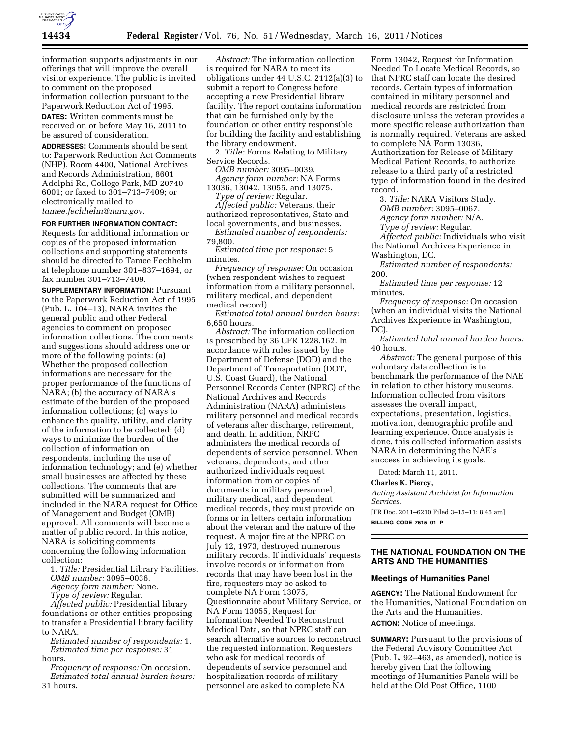

information supports adjustments in our offerings that will improve the overall visitor experience. The public is invited to comment on the proposed information collection pursuant to the Paperwork Reduction Act of 1995. **DATES:** Written comments must be received on or before May 16, 2011 to be assured of consideration.

**ADDRESSES:** Comments should be sent to: Paperwork Reduction Act Comments (NHP), Room 4400, National Archives and Records Administration, 8601 Adelphi Rd, College Park, MD 20740– 6001; or faxed to 301–713–7409; or electronically mailed to *[tamee.fechhelm@nara.gov.](mailto:tamee.fechhelm@nara.gov)* 

### **FOR FURTHER INFORMATION CONTACT:**

Requests for additional information or copies of the proposed information collections and supporting statements should be directed to Tamee Fechhelm at telephone number 301–837–1694, or fax number 301–713–7409.

**SUPPLEMENTARY INFORMATION:** Pursuant to the Paperwork Reduction Act of 1995 (Pub. L. 104–13), NARA invites the general public and other Federal agencies to comment on proposed information collections. The comments and suggestions should address one or more of the following points: (a) Whether the proposed collection informations are necessary for the proper performance of the functions of NARA; (b) the accuracy of NARA's estimate of the burden of the proposed information collections; (c) ways to enhance the quality, utility, and clarity of the information to be collected; (d) ways to minimize the burden of the collection of information on respondents, including the use of information technology; and (e) whether small businesses are affected by these collections. The comments that are submitted will be summarized and included in the NARA request for Office of Management and Budget (OMB) approval. All comments will become a matter of public record. In this notice, NARA is soliciting comments concerning the following information collection:

1. *Title:* Presidential Library Facilities. *OMB number:* 3095–0036.

*Agency form number:* None.

*Type of review:* Regular.

*Affected public:* Presidential library foundations or other entities proposing to transfer a Presidential library facility to NARA.

*Estimated number of respondents:* 1. *Estimated time per response:* 31 hours.

*Frequency of response:* On occasion. *Estimated total annual burden hours:*  31 hours.

*Abstract:* The information collection is required for NARA to meet its obligations under 44 U.S.C. 2112(a)(3) to submit a report to Congress before accepting a new Presidential library facility. The report contains information that can be furnished only by the foundation or other entity responsible for building the facility and establishing the library endowment.

2. *Title:* Forms Relating to Military Service Records.

*OMB number:* 3095–0039. *Agency form number:* NA Forms 13036, 13042, 13055, and 13075.

*Type of review:* Regular. *Affected public:* Veterans, their

authorized representatives, State and local governments, and businesses. *Estimated number of respondents:*  79,800.

*Estimated time per response:* 5 minutes.

*Frequency of response:* On occasion (when respondent wishes to request information from a military personnel, military medical, and dependent medical record).

*Estimated total annual burden hours:*  6,650 hours.

*Abstract:* The information collection is prescribed by 36 CFR 1228.162. In accordance with rules issued by the Department of Defense (DOD) and the Department of Transportation (DOT, U.S. Coast Guard), the National Personnel Records Center (NPRC) of the National Archives and Records Administration (NARA) administers military personnel and medical records of veterans after discharge, retirement, and death. In addition, NRPC administers the medical records of dependents of service personnel. When veterans, dependents, and other authorized individuals request information from or copies of documents in military personnel, military medical, and dependent medical records, they must provide on forms or in letters certain information about the veteran and the nature of the request. A major fire at the NPRC on July 12, 1973, destroyed numerous military records. If individuals' requests involve records or information from records that may have been lost in the fire, requesters may be asked to complete NA Form 13075, Questionnaire about Military Service, or NA Form 13055, Request for Information Needed To Reconstruct Medical Data, so that NPRC staff can search alternative sources to reconstruct the requested information. Requesters who ask for medical records of dependents of service personnel and hospitalization records of military personnel are asked to complete NA

Form 13042, Request for Information Needed To Locate Medical Records, so that NPRC staff can locate the desired records. Certain types of information contained in military personnel and medical records are restricted from disclosure unless the veteran provides a more specific release authorization than is normally required. Veterans are asked to complete NA Form 13036, Authorization for Release of Military Medical Patient Records, to authorize release to a third party of a restricted type of information found in the desired record.

3. *Title:* NARA Visitors Study. *OMB number:* 3095–0067.

*Agency form number:* N/A.

*Type of review:* Regular.

*Affected public:* Individuals who visit the National Archives Experience in Washington, DC.

*Estimated number of respondents:*  200.

*Estimated time per response:* 12 minutes.

*Frequency of response:* On occasion (when an individual visits the National Archives Experience in Washington, DC).

*Estimated total annual burden hours:*  40 hours.

*Abstract:* The general purpose of this voluntary data collection is to benchmark the performance of the NAE in relation to other history museums. Information collected from visitors assesses the overall impact, expectations, presentation, logistics, motivation, demographic profile and learning experience. Once analysis is done, this collected information assists NARA in determining the NAE's success in achieving its goals.

Dated: March 11, 2011.

#### **Charles K. Piercy,**

*Acting Assistant Archivist for Information Services.* 

[FR Doc. 2011–6210 Filed 3–15–11; 8:45 am] **BILLING CODE 7515–01–P** 

## **THE NATIONAL FOUNDATION ON THE ARTS AND THE HUMANITIES**

### **Meetings of Humanities Panel**

**AGENCY:** The National Endowment for the Humanities, National Foundation on the Arts and the Humanities. **ACTION:** Notice of meetings.

**SUMMARY:** Pursuant to the provisions of the Federal Advisory Committee Act (Pub. L. 92–463, as amended), notice is hereby given that the following meetings of Humanities Panels will be held at the Old Post Office, 1100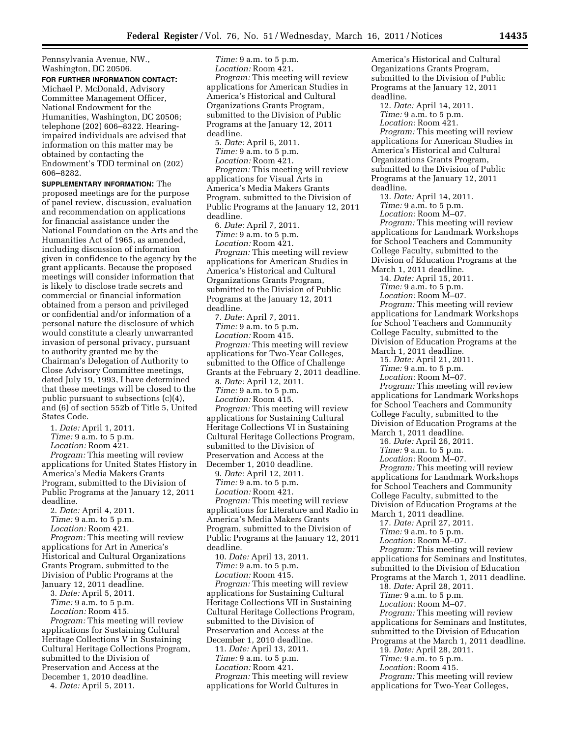Pennsylvania Avenue, NW., Washington, DC 20506.

**FOR FURTHER INFORMATION CONTACT:**  Michael P. McDonald, Advisory Committee Management Officer, National Endowment for the Humanities, Washington, DC 20506; telephone (202) 606–8322. Hearingimpaired individuals are advised that information on this matter may be obtained by contacting the Endowment's TDD terminal on (202) 606–8282.

**SUPPLEMENTARY INFORMATION:** The proposed meetings are for the purpose of panel review, discussion, evaluation and recommendation on applications for financial assistance under the National Foundation on the Arts and the Humanities Act of 1965, as amended, including discussion of information given in confidence to the agency by the grant applicants. Because the proposed meetings will consider information that is likely to disclose trade secrets and commercial or financial information obtained from a person and privileged or confidential and/or information of a personal nature the disclosure of which would constitute a clearly unwarranted invasion of personal privacy, pursuant to authority granted me by the Chairman's Delegation of Authority to Close Advisory Committee meetings, dated July 19, 1993, I have determined that these meetings will be closed to the public pursuant to subsections (c)(4), and (6) of section 552b of Title 5, United States Code.

1. *Date:* April 1, 2011.

*Time:* 9 a.m. to 5 p.m.

*Location:* Room 421.

*Program:* This meeting will review applications for United States History in America's Media Makers Grants Program, submitted to the Division of Public Programs at the January 12, 2011 deadline.

2. *Date:* April 4, 2011. *Time:* 9 a.m. to 5 p.m.

*Location:* Room 421.

*Program:* This meeting will review applications for Art in America's Historical and Cultural Organizations Grants Program, submitted to the Division of Public Programs at the January 12, 2011 deadline.

3. *Date:* April 5, 2011. *Time:* 9 a.m. to 5 p.m.

*Location:* Room 415.

*Program:* This meeting will review applications for Sustaining Cultural Heritage Collections V in Sustaining Cultural Heritage Collections Program, submitted to the Division of Preservation and Access at the December 1, 2010 deadline.

4. *Date:* April 5, 2011.

*Time:* 9 a.m. to 5 p.m. *Location:* Room 421. *Program:* This meeting will review applications for American Studies in America's Historical and Cultural Organizations Grants Program, submitted to the Division of Public Programs at the January 12, 2011 deadline.

5. *Date:* April 6, 2011. *Time:* 9 a.m. to 5 p.m. *Location:* Room 421.

*Program:* This meeting will review applications for Visual Arts in America's Media Makers Grants Program, submitted to the Division of Public Programs at the January 12, 2011 deadline.

6. *Date:* April 7, 2011. *Time:* 9 a.m. to 5 p.m. *Location:* Room 421.

*Program:* This meeting will review applications for American Studies in America's Historical and Cultural Organizations Grants Program, submitted to the Division of Public Programs at the January 12, 2011 deadline.

7. *Date:* April 7, 2011. *Time:* 9 a.m. to 5 p.m. *Location:* Room 415.

*Program:* This meeting will review applications for Two-Year Colleges, submitted to the Office of Challenge Grants at the February 2, 2011 deadline.

8. *Date:* April 12, 2011. *Time:* 9 a.m. to 5 p.m. *Location:* Room 415.

*Program:* This meeting will review applications for Sustaining Cultural Heritage Collections VI in Sustaining Cultural Heritage Collections Program, submitted to the Division of Preservation and Access at the December 1, 2010 deadline.

9. *Date:* April 12, 2011. *Time:* 9 a.m. to 5 p.m. *Location:* Room 421. *Program:* This meeting will review applications for Literature and Radio in America's Media Makers Grants Program, submitted to the Division of Public Programs at the January 12, 2011

deadline. 10. *Date:* April 13, 2011. *Time:* 9 a.m. to 5 p.m. *Location:* Room 415.

*Program:* This meeting will review applications for Sustaining Cultural Heritage Collections VII in Sustaining Cultural Heritage Collections Program, submitted to the Division of Preservation and Access at the December 1, 2010 deadline. 11. *Date:* April 13, 2011. *Time:* 9 a.m. to 5 p.m.

*Location:* Room 421.

*Program:* This meeting will review applications for World Cultures in

America's Historical and Cultural Organizations Grants Program, submitted to the Division of Public Programs at the January 12, 2011 deadline.

12. *Date:* April 14, 2011. *Time:* 9 a.m. to 5 p.m. *Location:* Room 421.

*Program:* This meeting will review applications for American Studies in America's Historical and Cultural Organizations Grants Program, submitted to the Division of Public Programs at the January 12, 2011 deadline.

13. *Date:* April 14, 2011. *Time:* 9 a.m. to 5 p.m.

*Location:* Room M–07. *Program:* This meeting will review applications for Landmark Workshops for School Teachers and Community College Faculty, submitted to the Division of Education Programs at the March 1, 2011 deadline.

14. *Date:* April 15, 2011.

*Time:* 9 a.m. to 5 p.m.

*Location:* Room M–07.

*Program:* This meeting will review applications for Landmark Workshops for School Teachers and Community College Faculty, submitted to the Division of Education Programs at the March 1, 2011 deadline.

15. *Date:* April 21, 2011. *Time:* 9 a.m. to 5 p.m.

*Location:* Room M–07.

*Program:* This meeting will review applications for Landmark Workshops for School Teachers and Community College Faculty, submitted to the Division of Education Programs at the March 1, 2011 deadline.

16. *Date:* April 26, 2011.

*Time:* 9 a.m. to 5 p.m.

*Location:* Room M–07.

*Program:* This meeting will review applications for Landmark Workshops for School Teachers and Community College Faculty, submitted to the Division of Education Programs at the March 1, 2011 deadline.

17. *Date:* April 27, 2011. *Time:* 9 a.m. to 5 p.m.

*Location:* Room M–07.

*Program:* This meeting will review

applications for Seminars and Institutes, submitted to the Division of Education

Programs at the March 1, 2011 deadline.

18. *Date:* April 28, 2011.

*Time:* 9 a.m. to 5 p.m.

*Location:* Room M–07. *Program:* This meeting will review

applications for Seminars and Institutes,

submitted to the Division of Education

Programs at the March 1, 2011 deadline.

19. *Date:* April 28, 2011.

*Time:* 9 a.m. to 5 p.m.

*Location:* Room 415.

*Program:* This meeting will review

applications for Two-Year Colleges,